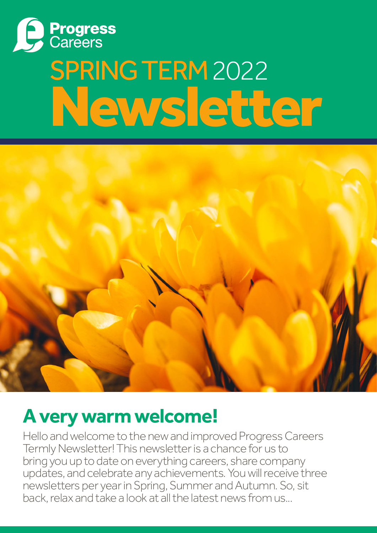

# SPRING TERM 2022 Newsletter



### **A very warm welcome!**

Hello and welcome to the new and improved Progress Careers Termly Newsletter! This newsletter is a chance for us to bring you up to date on everything careers, share company updates, and celebrate any achievements. You will receive three newsletters per year in Spring, Summer and Autumn. So, sit back, relax and take a look at all the latest news from us...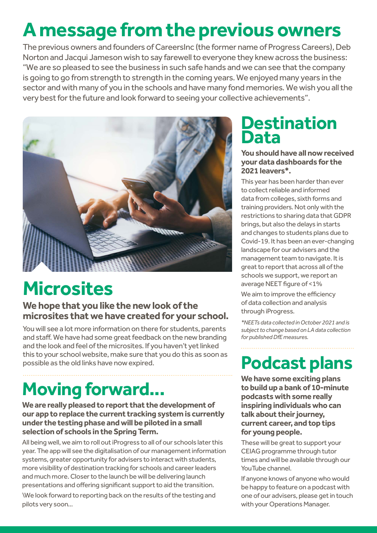## **A message from the previous owners**

The previous owners and founders of CareersInc (the former name of Progress Careers), Deb Norton and Jacqui Jameson wish to say farewell to everyone they knew across the business: "We are so pleased to see the business in such safe hands and we can see that the company is going to go from strength to strength in the coming years. We enjoyed many years in the sector and with many of you in the schools and have many fond memories. We wish you all the very best for the future and look forward to seeing your collective achievements".



### **Microsites**

#### **We hope that you like the new look of the microsites that we have created for your school.**

You will see a lot more information on there for students, parents and staff. We have had some great feedback on the new branding and the look and feel of the microsites. If you haven't yet linked this to your school website, make sure that you do this as soon as possible as the old links have now expired.

# **Moving forward...**

**We are really pleased to report that the development of our app to replace the current tracking system is currently under the testing phase and will be piloted in a small selection of schools in the Spring Term.**

All being well, we aim to roll out iProgress to all of our schools later this year. The app will see the digitalisation of our management information systems, greater opportunity for advisers to interact with students, more visibility of destination tracking for schools and career leaders and much more. Closer to the launch be will be delivering launch presentations and offering significant support to aid the transition.

\We look forward to reporting back on the results of the testing and pilots very soon…

#### **Destination Data**

#### **You should have all now received your data dashboards for the 2021 leavers\*.**

This year has been harder than ever to collect reliable and informed data from colleges, sixth forms and training providers. Not only with the restrictions to sharing data that GDPR brings, but also the delays in starts and changes to students plans due to Covid-19. It has been an ever-changing landscape for our advisers and the management team to navigate. It is great to report that across all of the schools we support, we report an average NEET figure of <1%

We aim to improve the efficiency of data collection and analysis through iProgress.

*\*NEETs data collected in October 2021 and is subject to change based on LA data collection for published DfE measures.*

### **Podcast plans**

**We have some exciting plans to build up a bank of 10-minute podcasts with some really inspiring individuals who can talk about their journey, current career, and top tips for young people.**

These will be great to support your CEIAG programme through tutor times and will be available through our YouTube channel.

If anyone knows of anyone who would be happy to feature on a podcast with one of our advisers, please get in touch with your Operations Manager.